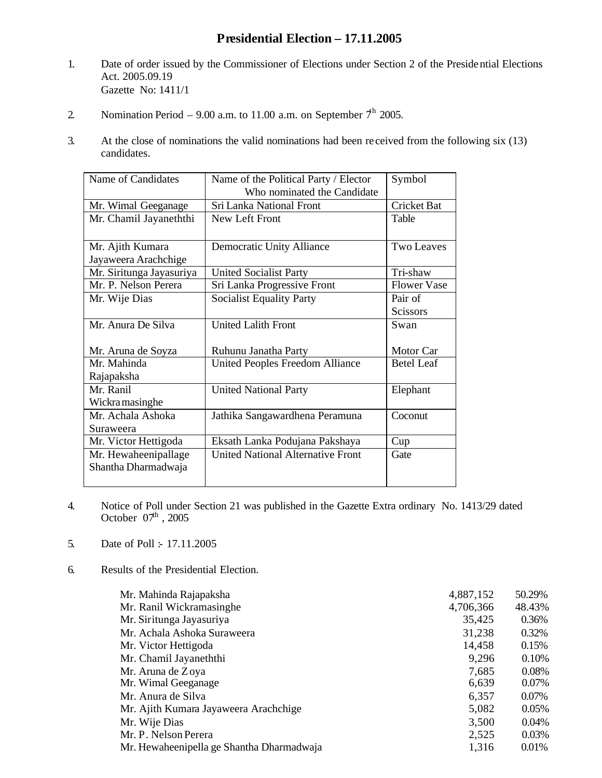## **Presidential Election – 17.11.2005**

- 1. Date of order issued by the Commissioner of Elections under Section 2 of the Presidential Elections Act. 2005.09.19 Gazette No: 1411/1
- 2. Nomination Period 9.00 a.m. to 11.00 a.m. on September  $7<sup>h</sup>$  2005.
- 3. At the close of nominations the valid nominations had been re ceived from the following six (13) candidates.

| Name of Candidates       | Name of the Political Party / Elector    | Symbol             |  |
|--------------------------|------------------------------------------|--------------------|--|
|                          | Who nominated the Candidate              |                    |  |
| Mr. Wimal Geeganage      | Sri Lanka National Front                 | <b>Cricket Bat</b> |  |
| Mr. Chamil Jayaneththi   | New Left Front                           | Table              |  |
|                          |                                          |                    |  |
| Mr. Ajith Kumara         | <b>Democratic Unity Alliance</b>         | <b>Two Leaves</b>  |  |
| Jayaweera Arachchige     |                                          |                    |  |
| Mr. Siritunga Jayasuriya | <b>United Socialist Party</b>            | Tri-shaw           |  |
| Mr. P. Nelson Perera     | Sri Lanka Progressive Front              | <b>Flower Vase</b> |  |
| Mr. Wije Dias            | <b>Socialist Equality Party</b>          | Pair of            |  |
|                          |                                          | <b>Scissors</b>    |  |
| Mr. Anura De Silva       | United Lalith Front                      | Swan               |  |
|                          |                                          |                    |  |
| Mr. Aruna de Soyza       | Ruhunu Janatha Party                     | Motor Car          |  |
| Mr. Mahinda              | <b>United Peoples Freedom Alliance</b>   | <b>Betel Leaf</b>  |  |
| Rajapaksha               |                                          |                    |  |
| Mr. Ranil                | <b>United National Party</b>             | Elephant           |  |
| Wickra masinghe          |                                          |                    |  |
| Mr. Achala Ashoka        | Jathika Sangawardhena Peramuna           | Coconut            |  |
| Suraweera                |                                          |                    |  |
| Mr. Victor Hettigoda     | Eksath Lanka Podujana Pakshaya           | Cup                |  |
| Mr. Hewaheenipallage     | <b>United National Alternative Front</b> | Gate               |  |
| Shantha Dharmadwaja      |                                          |                    |  |
|                          |                                          |                    |  |

- 4. Notice of Poll under Section 21 was published in the Gazette Extra ordinary No. 1413/29 dated October  $07<sup>th</sup>$ , 2005
- 5. Date of Poll :- 17.11.2005
- 6. Results of the Presidential Election.

| Mr. Mahinda Rajapaksha                    | 4,887,152 | 50.29% |
|-------------------------------------------|-----------|--------|
| Mr. Ranil Wickramasinghe                  | 4,706,366 | 48.43% |
| Mr. Siritunga Jayasuriya                  | 35,425    | 0.36%  |
| Mr. Achala Ashoka Suraweera               | 31,238    | 0.32%  |
| Mr. Victor Hettigoda                      | 14,458    | 0.15%  |
| Mr. Chamil Jayaneththi                    | 9,296     | 0.10%  |
| Mr. Aruna de Zoya                         | 7,685     | 0.08%  |
| Mr. Wimal Geeganage                       | 6,639     | 0.07%  |
| Mr. Anura de Silva                        | 6,357     | 0.07%  |
| Mr. Ajith Kumara Jayaweera Arachchige     | 5,082     | 0.05%  |
| Mr. Wije Dias                             | 3,500     | 0.04%  |
| Mr. P. Nelson Perera                      | 2,525     | 0.03%  |
| Mr. Hewaheenipella ge Shantha Dharmadwaja | 1,316     | 0.01%  |
|                                           |           |        |